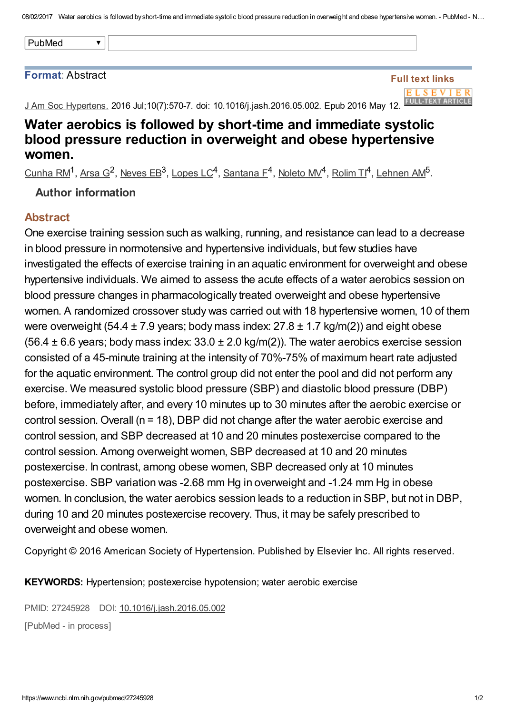08/02/2017 Water aerobics is followed by short-time and immediate systolic blood pressure reduction in overweight and obese hypertensive women. - PubMed - N...

#### Format: Abstract

#### Full text links ELSEVIER **FULL-TEXT ARTICLE**

J Am Soc Hypertens. 2016 Jul;10(7):570-7. doi: 10.1016/j.jash.2016.05.002. Epub 2016 May 12.

# Water aerobics is followed by short-time and immediate systolic blood pressure reduction in overweight and obese hypertensive women.

[Cunha](https://www.ncbi.nlm.nih.gov/pubmed/?term=Cunha%20RM%5BAuthor%5D&cauthor=true&cauthor_uid=27245928) RM<sup>1</sup>, [Arsa](https://www.ncbi.nlm.nih.gov/pubmed/?term=Arsa%20G%5BAuthor%5D&cauthor=true&cauthor_uid=27245928) G<sup>2</sup>, [Neves](https://www.ncbi.nlm.nih.gov/pubmed/?term=Neves%20EB%5BAuthor%5D&cauthor=true&cauthor_uid=27245928) EB<sup>3</sup>, [Lopes](https://www.ncbi.nlm.nih.gov/pubmed/?term=Lopes%20LC%5BAuthor%5D&cauthor=true&cauthor_uid=27245928) LC<sup>4</sup>, [Santana](https://www.ncbi.nlm.nih.gov/pubmed/?term=Santana%20F%5BAuthor%5D&cauthor=true&cauthor_uid=27245928) F<sup>4</sup>, [Noleto](https://www.ncbi.nlm.nih.gov/pubmed/?term=Noleto%20MV%5BAuthor%5D&cauthor=true&cauthor_uid=27245928) MV<sup>4</sup>, [Rolim](https://www.ncbi.nlm.nih.gov/pubmed/?term=Rolim%20TI%5BAuthor%5D&cauthor=true&cauthor_uid=27245928) TI<sup>4</sup>, [Lehnen](https://www.ncbi.nlm.nih.gov/pubmed/?term=Lehnen%20AM%5BAuthor%5D&cauthor=true&cauthor_uid=27245928) AM<sup>5</sup>.

### Author information

### Abstract

One exercise training session such as walking, running, and resistance can lead to a decrease in blood pressure in normotensive and hypertensive individuals, but few studies have investigated the effects of exercise training in an aquatic environment for overweight and obese hypertensive individuals. We aimed to assess the acute effects of a water aerobics session on blood pressure changes in pharmacologically treated overweight and obese hypertensive women. A randomized crossover study was carried out with 18 hypertensive women, 10 of them were overweight (54.4  $\pm$  7.9 years; body mass index: 27.8  $\pm$  1.7 kg/m(2)) and eight obese (56.4  $\pm$  6.6 years; body mass index: 33.0  $\pm$  2.0 kg/m(2)). The water aerobics exercise session consisted of a 45-minute training at the intensity of 70%-75% of maximum heart rate adjusted for the aquatic environment. The control group did not enter the pool and did not perform any exercise. We measured systolic blood pressure (SBP) and diastolic blood pressure (DBP) before, immediately after, and every 10 minutes up to 30 minutes after the aerobic exercise or control session. Overall (n = 18), DBP did not change after the water aerobic exercise and control session, and SBP decreased at 10 and 20 minutes postexercise compared to the control session. Among overweight women, SBP decreased at 10 and 20 minutes postexercise. In contrast, among obese women, SBP decreased only at 10 minutes postexercise. SBP variation was -2.68 mm Hg in overweight and -1.24 mm Hg in obese women. In conclusion, the water aerobics session leads to a reduction in SBP, but not in DBP, during 10 and 20 minutes postexercise recovery. Thus, it may be safely prescribed to overweight and obese women.

Copyright © 2016 American Society of Hypertension. Published by Elsevier Inc. All rights reserved.

KEYWORDS: Hypertension; postexercise hypotension; water aerobic exercise

PMID: 27245928 DOI: [10.1016/j.jash.2016.05.002](https://dx.doi.org/10.1016/j.jash.2016.05.002)

[PubMed - in process]